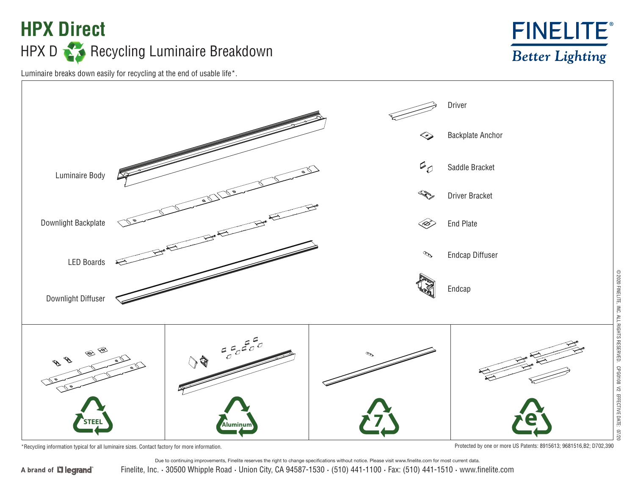## **HPX Direct** HPX D Recycling Luminaire Breakdown



Luminaire breaks down easily for recycling at the end of usable life\*.



\*Recycling information typical for all luminaire sizes. Contact factory for more information. Protected by one or more US Patents: 8915613; 9681516,B2; D702,390

Finelite, Inc. **·** 30500 Whipple Road **·** Union City, CA 94587-1530 **·** (510) 441-1100 **·** Fax: (510) 441-1510 **·** www.finelite.com Due to continuing improvements, Finelite reserves the right to change specifications without notice. Please visit www.finelite.com for most current data.

A brand of **Li legrand**